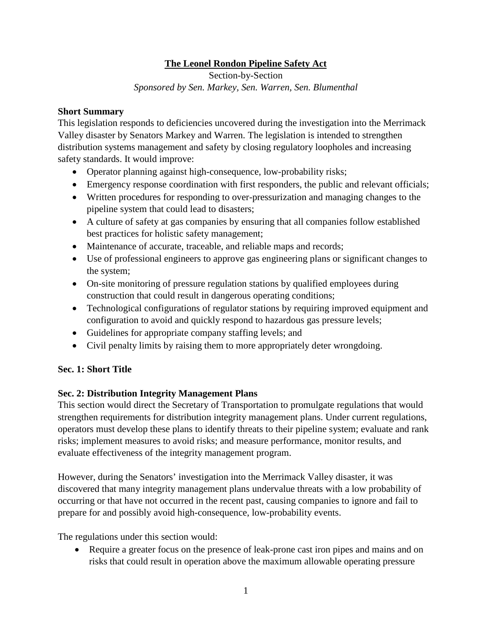## **The Leonel Rondon Pipeline Safety Act**

Section-by-Section *Sponsored by Sen. Markey, Sen. Warren, Sen. Blumenthal*

#### **Short Summary**

This legislation responds to deficiencies uncovered during the investigation into the Merrimack Valley disaster by Senators Markey and Warren. The legislation is intended to strengthen distribution systems management and safety by closing regulatory loopholes and increasing safety standards. It would improve:

- Operator planning against high-consequence, low-probability risks;
- Emergency response coordination with first responders, the public and relevant officials;
- Written procedures for responding to over-pressurization and managing changes to the pipeline system that could lead to disasters;
- A culture of safety at gas companies by ensuring that all companies follow established best practices for holistic safety management;
- Maintenance of accurate, traceable, and reliable maps and records;
- Use of professional engineers to approve gas engineering plans or significant changes to the system;
- On-site monitoring of pressure regulation stations by qualified employees during construction that could result in dangerous operating conditions;
- Technological configurations of regulator stations by requiring improved equipment and configuration to avoid and quickly respond to hazardous gas pressure levels;
- Guidelines for appropriate company staffing levels; and
- Civil penalty limits by raising them to more appropriately deter wrongdoing.

### **Sec. 1: Short Title**

### **Sec. 2: Distribution Integrity Management Plans**

This section would direct the Secretary of Transportation to promulgate regulations that would strengthen requirements for distribution integrity management plans. Under current regulations, operators must develop these plans to identify threats to their pipeline system; evaluate and rank risks; implement measures to avoid risks; and measure performance, monitor results, and evaluate effectiveness of the integrity management program.

However, during the Senators' investigation into the Merrimack Valley disaster, it was discovered that many integrity management plans undervalue threats with a low probability of occurring or that have not occurred in the recent past, causing companies to ignore and fail to prepare for and possibly avoid high-consequence, low-probability events.

The regulations under this section would:

• Require a greater focus on the presence of leak-prone cast iron pipes and mains and on risks that could result in operation above the maximum allowable operating pressure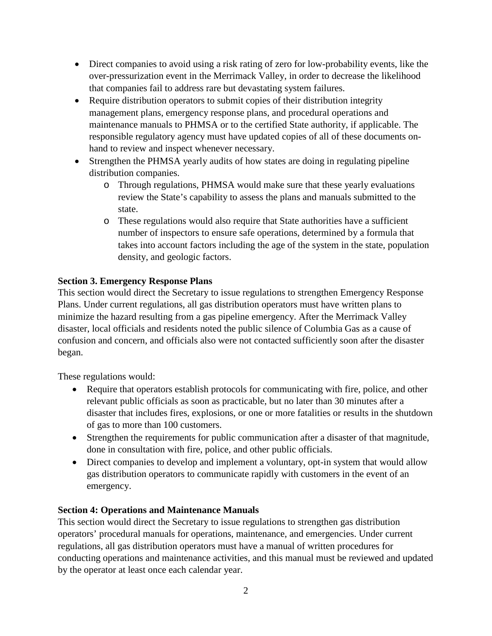- Direct companies to avoid using a risk rating of zero for low-probability events, like the over-pressurization event in the Merrimack Valley, in order to decrease the likelihood that companies fail to address rare but devastating system failures.
- Require distribution operators to submit copies of their distribution integrity management plans, emergency response plans, and procedural operations and maintenance manuals to PHMSA or to the certified State authority, if applicable. The responsible regulatory agency must have updated copies of all of these documents onhand to review and inspect whenever necessary.
- Strengthen the PHMSA yearly audits of how states are doing in regulating pipeline distribution companies.
	- o Through regulations, PHMSA would make sure that these yearly evaluations review the State's capability to assess the plans and manuals submitted to the state.
	- o These regulations would also require that State authorities have a sufficient number of inspectors to ensure safe operations, determined by a formula that takes into account factors including the age of the system in the state, population density, and geologic factors.

### **Section 3. Emergency Response Plans**

This section would direct the Secretary to issue regulations to strengthen Emergency Response Plans. Under current regulations, all gas distribution operators must have written plans to minimize the hazard resulting from a gas pipeline emergency. After the Merrimack Valley disaster, local officials and residents noted the public silence of Columbia Gas as a cause of confusion and concern, and officials also were not contacted sufficiently soon after the disaster began.

These regulations would:

- Require that operators establish protocols for communicating with fire, police, and other relevant public officials as soon as practicable, but no later than 30 minutes after a disaster that includes fires, explosions, or one or more fatalities or results in the shutdown of gas to more than 100 customers.
- Strengthen the requirements for public communication after a disaster of that magnitude, done in consultation with fire, police, and other public officials.
- Direct companies to develop and implement a voluntary, opt-in system that would allow gas distribution operators to communicate rapidly with customers in the event of an emergency.

### **Section 4: Operations and Maintenance Manuals**

This section would direct the Secretary to issue regulations to strengthen gas distribution operators' procedural manuals for operations, maintenance, and emergencies. Under current regulations, all gas distribution operators must have a manual of written procedures for conducting operations and maintenance activities, and this manual must be reviewed and updated by the operator at least once each calendar year.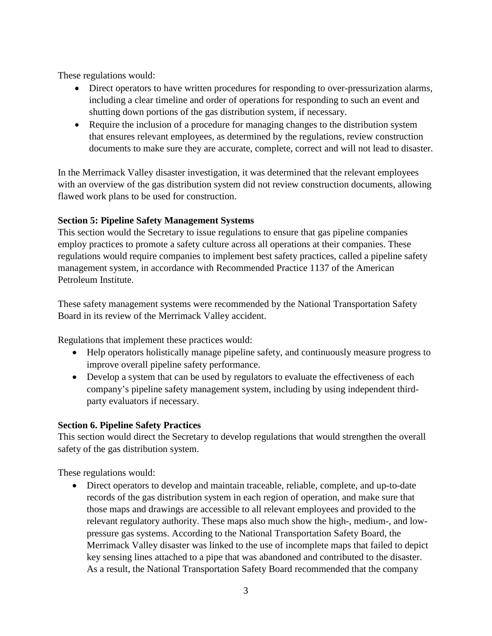These regulations would:

- Direct operators to have written procedures for responding to over-pressurization alarms, including a clear timeline and order of operations for responding to such an event and shutting down portions of the gas distribution system, if necessary.
- Require the inclusion of a procedure for managing changes to the distribution system that ensures relevant employees, as determined by the regulations, review construction documents to make sure they are accurate, complete, correct and will not lead to disaster.

In the Merrimack Valley disaster investigation, it was determined that the relevant employees with an overview of the gas distribution system did not review construction documents, allowing flawed work plans to be used for construction.

# **Section 5: Pipeline Safety Management Systems**

This section would the Secretary to issue regulations to ensure that gas pipeline companies employ practices to promote a safety culture across all operations at their companies. These regulations would require companies to implement best safety practices, called a pipeline safety management system, in accordance with Recommended Practice 1137 of the American Petroleum Institute.

These safety management systems were recommended by the National Transportation Safety Board in its review of the Merrimack Valley accident.

Regulations that implement these practices would:

- Help operators holistically manage pipeline safety, and continuously measure progress to improve overall pipeline safety performance.
- Develop a system that can be used by regulators to evaluate the effectiveness of each company's pipeline safety management system, including by using independent thirdparty evaluators if necessary.

# **Section 6. Pipeline Safety Practices**

This section would direct the Secretary to develop regulations that would strengthen the overall safety of the gas distribution system.

These regulations would:

• Direct operators to develop and maintain traceable, reliable, complete, and up-to-date records of the gas distribution system in each region of operation, and make sure that those maps and drawings are accessible to all relevant employees and provided to the relevant regulatory authority. These maps also much show the high-, medium-, and lowpressure gas systems. According to the National Transportation Safety Board, the Merrimack Valley disaster was linked to the use of incomplete maps that failed to depict key sensing lines attached to a pipe that was abandoned and contributed to the disaster. As a result, the National Transportation Safety Board recommended that the company